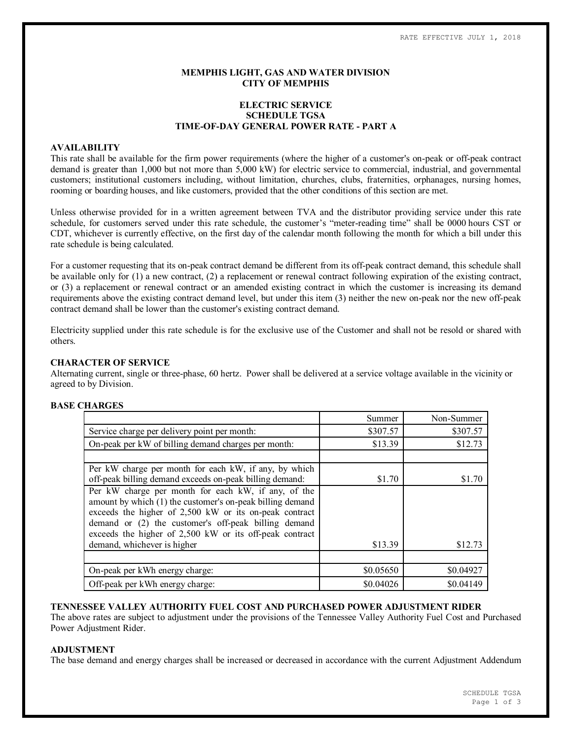### **MEMPHIS LIGHT, GAS AND WATER DIVISION CITY OF MEMPHIS**

# **ELECTRIC SERVICE SCHEDULE TGSA TIME-OF-DAY GENERAL POWER RATE - PART A**

#### **AVAILABILITY**

This rate shall be available for the firm power requirements (where the higher of a customer's on-peak or off-peak contract demand is greater than 1,000 but not more than 5,000 kW) for electric service to commercial, industrial, and governmental customers; institutional customers including, without limitation, churches, clubs, fraternities, orphanages, nursing homes, rooming or boarding houses, and like customers, provided that the other conditions of this section are met.

Unless otherwise provided for in a written agreement between TVA and the distributor providing service under this rate schedule, for customers served under this rate schedule, the customer's "meter-reading time" shall be 0000 hours CST or CDT, whichever is currently effective, on the first day of the calendar month following the month for which a bill under this rate schedule is being calculated.

For a customer requesting that its on-peak contract demand be different from its off-peak contract demand, this schedule shall be available only for (1) a new contract, (2) a replacement or renewal contract following expiration of the existing contract, or (3) a replacement or renewal contract or an amended existing contract in which the customer is increasing its demand requirements above the existing contract demand level, but under this item (3) neither the new on-peak nor the new off-peak contract demand shall be lower than the customer's existing contract demand.

Electricity supplied under this rate schedule is for the exclusive use of the Customer and shall not be resold or shared with others.

#### **CHARACTER OF SERVICE**

Alternating current, single or three-phase, 60 hertz. Power shall be delivered at a service voltage available in the vicinity or agreed to by Division.

# **BASE CHARGES**

|                                                                                                                                                                                                                                                                                                                              | Summer    | Non-Summer |
|------------------------------------------------------------------------------------------------------------------------------------------------------------------------------------------------------------------------------------------------------------------------------------------------------------------------------|-----------|------------|
| Service charge per delivery point per month:                                                                                                                                                                                                                                                                                 | \$307.57  | \$307.57   |
| On-peak per kW of billing demand charges per month:                                                                                                                                                                                                                                                                          | \$13.39   | \$12.73    |
|                                                                                                                                                                                                                                                                                                                              |           |            |
| Per kW charge per month for each kW, if any, by which<br>off-peak billing demand exceeds on-peak billing demand:                                                                                                                                                                                                             | \$1.70    | \$1.70     |
| Per kW charge per month for each kW, if any, of the<br>amount by which (1) the customer's on-peak billing demand<br>exceeds the higher of 2,500 kW or its on-peak contract<br>demand or (2) the customer's off-peak billing demand<br>exceeds the higher of 2,500 kW or its off-peak contract<br>demand, whichever is higher | \$13.39   | \$12.73    |
|                                                                                                                                                                                                                                                                                                                              |           |            |
|                                                                                                                                                                                                                                                                                                                              |           |            |
| On-peak per kWh energy charge:                                                                                                                                                                                                                                                                                               | \$0.05650 | \$0.04927  |
| Off-peak per kWh energy charge:                                                                                                                                                                                                                                                                                              | \$0.04026 | \$0.04149  |

**TENNESSEE VALLEY AUTHORITY FUEL COST AND PURCHASED POWER ADJUSTMENT RIDER**

The above rates are subject to adjustment under the provisions of the Tennessee Valley Authority Fuel Cost and Purchased Power Adjustment Rider.

### **ADJUSTMENT**

The base demand and energy charges shall be increased or decreased in accordance with the current Adjustment Addendum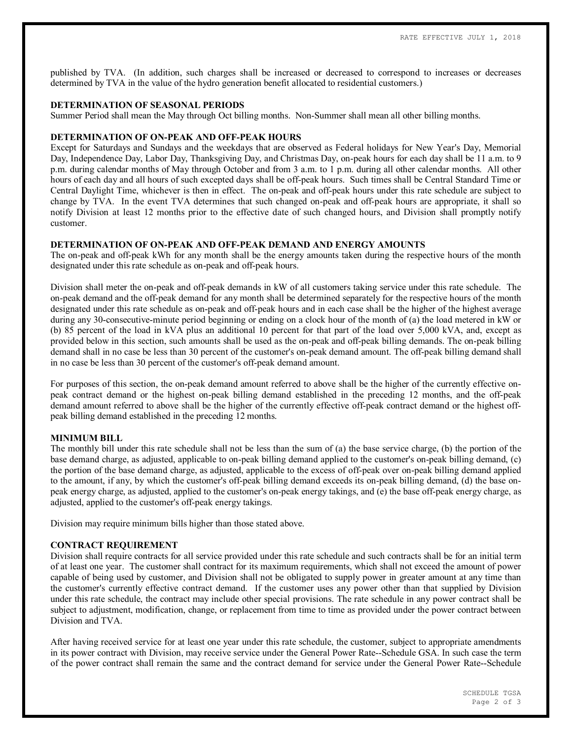published by TVA. (In addition, such charges shall be increased or decreased to correspond to increases or decreases determined by TVA in the value of the hydro generation benefit allocated to residential customers.)

### **DETERMINATION OF SEASONAL PERIODS**

Summer Period shall mean the May through Oct billing months. Non-Summer shall mean all other billing months.

## **DETERMINATION OF ON-PEAK AND OFF-PEAK HOURS**

Except for Saturdays and Sundays and the weekdays that are observed as Federal holidays for New Year's Day, Memorial Day, Independence Day, Labor Day, Thanksgiving Day, and Christmas Day, on-peak hours for each day shall be 11 a.m. to 9 p.m. during calendar months of May through October and from 3 a.m. to 1 p.m. during all other calendar months. All other hours of each day and all hours of such excepted days shall be off-peak hours. Such times shall be Central Standard Time or Central Daylight Time, whichever is then in effect. The on-peak and off-peak hours under this rate schedule are subject to change by TVA. In the event TVA determines that such changed on-peak and off-peak hours are appropriate, it shall so notify Division at least 12 months prior to the effective date of such changed hours, and Division shall promptly notify customer.

### **DETERMINATION OF ON-PEAK AND OFF-PEAK DEMAND AND ENERGY AMOUNTS**

The on-peak and off-peak kWh for any month shall be the energy amounts taken during the respective hours of the month designated under this rate schedule as on-peak and off-peak hours.

Division shall meter the on-peak and off-peak demands in kW of all customers taking service under this rate schedule. The on-peak demand and the off-peak demand for any month shall be determined separately for the respective hours of the month designated under this rate schedule as on-peak and off-peak hours and in each case shall be the higher of the highest average during any 30-consecutive-minute period beginning or ending on a clock hour of the month of (a) the load metered in kW or (b) 85 percent of the load in kVA plus an additional 10 percent for that part of the load over 5,000 kVA, and, except as provided below in this section, such amounts shall be used as the on-peak and off-peak billing demands. The on-peak billing demand shall in no case be less than 30 percent of the customer's on-peak demand amount. The off-peak billing demand shall in no case be less than 30 percent of the customer's off-peak demand amount.

For purposes of this section, the on-peak demand amount referred to above shall be the higher of the currently effective onpeak contract demand or the highest on-peak billing demand established in the preceding 12 months, and the off-peak demand amount referred to above shall be the higher of the currently effective off-peak contract demand or the highest offpeak billing demand established in the preceding 12 months.

## **MINIMUM BILL**

The monthly bill under this rate schedule shall not be less than the sum of (a) the base service charge, (b) the portion of the base demand charge, as adjusted, applicable to on-peak billing demand applied to the customer's on-peak billing demand, (c) the portion of the base demand charge, as adjusted, applicable to the excess of off-peak over on-peak billing demand applied to the amount, if any, by which the customer's off-peak billing demand exceeds its on-peak billing demand, (d) the base onpeak energy charge, as adjusted, applied to the customer's on-peak energy takings, and (e) the base off-peak energy charge, as adjusted, applied to the customer's off-peak energy takings.

Division may require minimum bills higher than those stated above.

### **CONTRACT REQUIREMENT**

Division shall require contracts for all service provided under this rate schedule and such contracts shall be for an initial term of at least one year. The customer shall contract for its maximum requirements, which shall not exceed the amount of power capable of being used by customer, and Division shall not be obligated to supply power in greater amount at any time than the customer's currently effective contract demand. If the customer uses any power other than that supplied by Division under this rate schedule, the contract may include other special provisions. The rate schedule in any power contract shall be subject to adjustment, modification, change, or replacement from time to time as provided under the power contract between Division and TVA.

After having received service for at least one year under this rate schedule, the customer, subject to appropriate amendments in its power contract with Division, may receive service under the General Power Rate--Schedule GSA. In such case the term of the power contract shall remain the same and the contract demand for service under the General Power Rate--Schedule